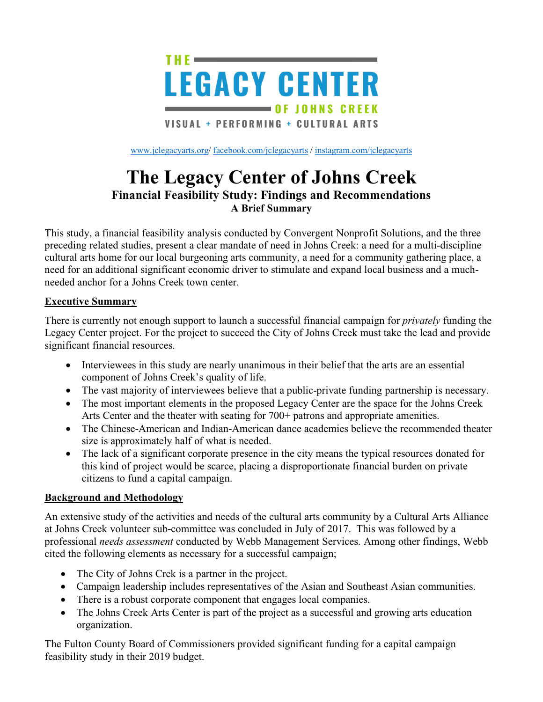

[www.jclegacyarts.org/](http://www.jclegacyarts.org/) [facebook.com/jclegacyarts](https://www.facebook.com/jclegacyarts/) / [instagram.com/jclegacyarts](https://www.instagram.com/jclegacyarts/)

# **The Legacy Center of Johns Creek Financial Feasibility Study: Findings and Recommendations A Brief Summary**

This study, a financial feasibility analysis conducted by Convergent Nonprofit Solutions, and the three preceding related studies, present a clear mandate of need in Johns Creek: a need for a multi-discipline cultural arts home for our local burgeoning arts community, a need for a community gathering place, a need for an additional significant economic driver to stimulate and expand local business and a muchneeded anchor for a Johns Creek town center.

#### **Executive Summary**

There is currently not enough support to launch a successful financial campaign for *privately* funding the Legacy Center project. For the project to succeed the City of Johns Creek must take the lead and provide significant financial resources.

- Interviewees in this study are nearly unanimous in their belief that the arts are an essential component of Johns Creek's quality of life.
- The vast majority of interviewees believe that a public-private funding partnership is necessary.
- The most important elements in the proposed Legacy Center are the space for the Johns Creek Arts Center and the theater with seating for 700+ patrons and appropriate amenities.
- The Chinese-American and Indian-American dance academies believe the recommended theater size is approximately half of what is needed.
- The lack of a significant corporate presence in the city means the typical resources donated for this kind of project would be scarce, placing a disproportionate financial burden on private citizens to fund a capital campaign.

#### **Background and Methodology**

An extensive study of the activities and needs of the cultural arts community by a Cultural Arts Alliance at Johns Creek volunteer sub-committee was concluded in July of 2017. This was followed by a professional *needs assessment* conducted by Webb Management Services. Among other findings, Webb cited the following elements as necessary for a successful campaign;

- The City of Johns Crek is a partner in the project.
- Campaign leadership includes representatives of the Asian and Southeast Asian communities.
- There is a robust corporate component that engages local companies.
- The Johns Creek Arts Center is part of the project as a successful and growing arts education organization.

The Fulton County Board of Commissioners provided significant funding for a capital campaign feasibility study in their 2019 budget.